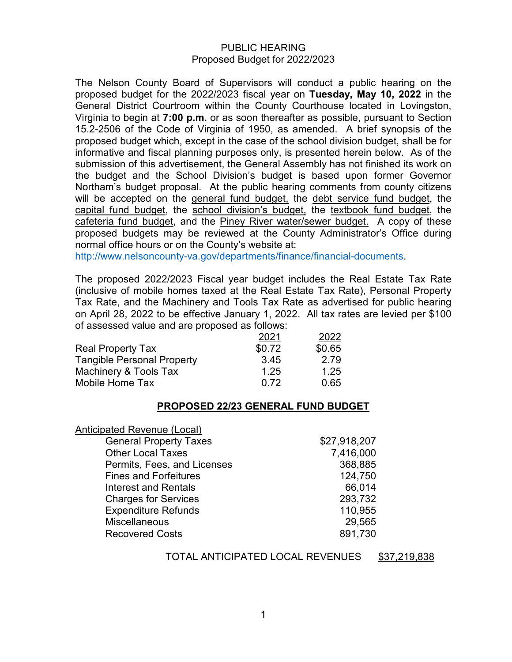#### PUBLIC HEARING Proposed Budget for 2022/2023

The Nelson County Board of Supervisors will conduct a public hearing on the proposed budget for the 2022/2023 fiscal year on **Tuesday, May 10, 2022** in the General District Courtroom within the County Courthouse located in Lovingston, Virginia to begin at **7:00 p.m.** or as soon thereafter as possible, pursuant to Section 15.2-2506 of the Code of Virginia of 1950, as amended. A brief synopsis of the proposed budget which, except in the case of the school division budget, shall be for informative and fiscal planning purposes only, is presented herein below. As of the submission of this advertisement, the General Assembly has not finished its work on the budget and the School Division's budget is based upon former Governor Northam's budget proposal. At the public hearing comments from county citizens will be accepted on the general fund budget, the debt service fund budget, the capital fund budget, the school division's budget, the textbook fund budget, the cafeteria fund budget, and the Piney River water/sewer budget. A copy of these proposed budgets may be reviewed at the County Administrator's Office during normal office hours or on the County's website at:

[http://www.nelsoncounty-va.gov/departments/finance/financial-documents.](http://www.nelsoncounty-va.gov/departments/finance/financial-documents)

The proposed 2022/2023 Fiscal year budget includes the Real Estate Tax Rate (inclusive of mobile homes taxed at the Real Estate Tax Rate), Personal Property Tax Rate, and the Machinery and Tools Tax Rate as advertised for public hearing on April 28, 2022 to be effective January 1, 2022. All tax rates are levied per \$100 of assessed value and are proposed as follows:

|                                   | 2021   | 2022   |
|-----------------------------------|--------|--------|
| <b>Real Property Tax</b>          | \$0.72 | \$0.65 |
| <b>Tangible Personal Property</b> | 3.45   | 2.79   |
| Machinery & Tools Tax             | 1.25   | 1.25   |
| Mobile Home Tax                   | በ 72   | 0.65   |

## **PROPOSED 22/23 GENERAL FUND BUDGET**

| Anticipated Revenue (Local)   |              |
|-------------------------------|--------------|
| <b>General Property Taxes</b> | \$27,918,207 |
| <b>Other Local Taxes</b>      | 7,416,000    |
| Permits, Fees, and Licenses   | 368,885      |
| <b>Fines and Forfeitures</b>  | 124,750      |
| Interest and Rentals          | 66,014       |
| <b>Charges for Services</b>   | 293,732      |
| <b>Expenditure Refunds</b>    | 110,955      |
| <b>Miscellaneous</b>          | 29,565       |
| <b>Recovered Costs</b>        | 891,730      |
|                               |              |

TOTAL ANTICIPATED LOCAL REVENUES \$37,219,838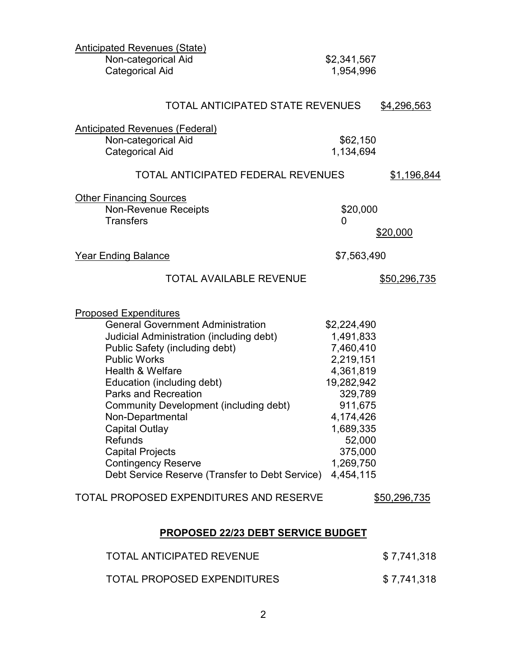| <b>Anticipated Revenues (State)</b>                   |                          |                     |  |
|-------------------------------------------------------|--------------------------|---------------------|--|
| Non-categorical Aid<br><b>Categorical Aid</b>         | \$2,341,567<br>1,954,996 |                     |  |
|                                                       |                          |                     |  |
| <b>TOTAL ANTICIPATED STATE REVENUES</b>               |                          | \$4,296,563         |  |
| <b>Anticipated Revenues (Federal)</b>                 |                          |                     |  |
| Non-categorical Aid                                   | \$62,150                 |                     |  |
| <b>Categorical Aid</b>                                | 1,134,694                |                     |  |
| <b>TOTAL ANTICIPATED FEDERAL REVENUES</b>             |                          | <u>\$1,196,844</u>  |  |
| <b>Other Financing Sources</b>                        |                          |                     |  |
| <b>Non-Revenue Receipts</b>                           | \$20,000                 |                     |  |
| <b>Transfers</b>                                      | 0                        | \$20,000            |  |
| <b>Year Ending Balance</b>                            | \$7,563,490              |                     |  |
| <b>TOTAL AVAILABLE REVENUE</b>                        |                          | <u>\$50,296,735</u> |  |
| <b>Proposed Expenditures</b>                          |                          |                     |  |
| <b>General Government Administration</b>              | \$2,224,490              |                     |  |
| Judicial Administration (including debt)              | 1,491,833                |                     |  |
| Public Safety (including debt)<br><b>Public Works</b> | 7,460,410<br>2,219,151   |                     |  |
| <b>Health &amp; Welfare</b>                           | 4,361,819                |                     |  |
| Education (including debt)                            | 19,282,942               |                     |  |
| <b>Parks and Recreation</b>                           | 329,789                  |                     |  |
| <b>Community Development (including debt)</b>         | 911,675                  |                     |  |
| Non-Departmental                                      | 4,174,426                |                     |  |
| <b>Capital Outlay</b>                                 | 1,689,335                |                     |  |
| <b>Refunds</b>                                        | 52,000                   |                     |  |
| <b>Capital Projects</b><br><b>Contingency Reserve</b> | 375,000<br>1,269,750     |                     |  |
| Debt Service Reserve (Transfer to Debt Service)       | 4,454,115                |                     |  |
| TOTAL PROPOSED EXPENDITURES AND RESERVE               |                          | \$50,296,735        |  |
| <b>PROPOSED 22/23 DEBT SERVICE BUDGET</b>             |                          |                     |  |
| <b>TOTAL ANTICIPATED REVENUE</b>                      |                          | \$7,741,318         |  |
| <b>TOTAL PROPOSED EXPENDITURES</b>                    |                          | \$7,741,318         |  |

2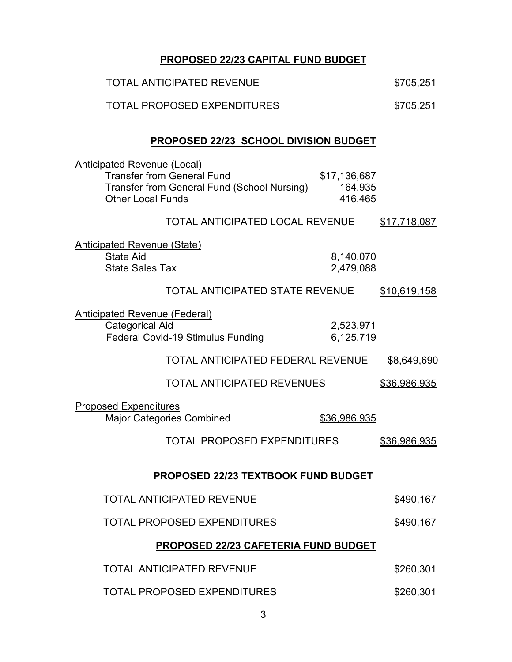# **PROPOSED 22/23 CAPITAL FUND BUDGET**

| <b>TOTAL ANTICIPATED REVENUE</b>                                                                                                                                                          | \$705,251           |  |  |  |
|-------------------------------------------------------------------------------------------------------------------------------------------------------------------------------------------|---------------------|--|--|--|
| <b>TOTAL PROPOSED EXPENDITURES</b>                                                                                                                                                        | \$705,251           |  |  |  |
| <b>PROPOSED 22/23 SCHOOL DIVISION BUDGET</b>                                                                                                                                              |                     |  |  |  |
| <u> Anticipated Revenue (Local)</u><br><b>Transfer from General Fund</b><br>\$17,136,687<br>Transfer from General Fund (School Nursing)<br>164,935<br><b>Other Local Funds</b><br>416,465 |                     |  |  |  |
| <b>TOTAL ANTICIPATED LOCAL REVENUE</b>                                                                                                                                                    | \$17,718,087        |  |  |  |
| <u> Anticipated Revenue (State)</u><br><b>State Aid</b><br>8,140,070<br><b>State Sales Tax</b><br>2,479,088                                                                               |                     |  |  |  |
| <b>TOTAL ANTICIPATED STATE REVENUE</b>                                                                                                                                                    | \$10,619,158        |  |  |  |
| <u>Anticipated Revenue (Federal)</u><br><b>Categorical Aid</b><br>2,523,971<br>Federal Covid-19 Stimulus Funding<br>6,125,719                                                             |                     |  |  |  |
| <b>TOTAL ANTICIPATED FEDERAL REVENUE</b>                                                                                                                                                  | \$8,649,690         |  |  |  |
| <b>TOTAL ANTICIPATED REVENUES</b>                                                                                                                                                         | \$36,986,935        |  |  |  |
| <b>Proposed Expenditures</b><br><b>Major Categories Combined</b><br>\$36,986,935                                                                                                          |                     |  |  |  |
| <b>TOTAL PROPOSED EXPENDITURES</b>                                                                                                                                                        | <u>\$36,986,935</u> |  |  |  |
| <b>PROPOSED 22/23 TEXTBOOK FUND BUDGET</b>                                                                                                                                                |                     |  |  |  |
| <b>TOTAL ANTICIPATED REVENUE</b>                                                                                                                                                          | \$490,167           |  |  |  |
| <b>TOTAL PROPOSED EXPENDITURES</b>                                                                                                                                                        | \$490,167           |  |  |  |
| PROPOSED 22/23 CAFETERIA FUND BUDGET                                                                                                                                                      |                     |  |  |  |
| <b>TOTAL ANTICIPATED REVENUE</b>                                                                                                                                                          | \$260,301           |  |  |  |